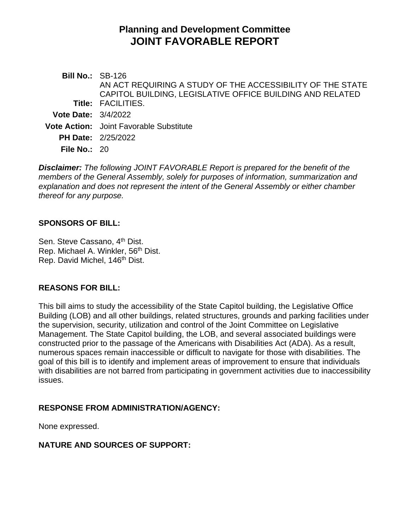# **Planning and Development Committee JOINT FAVORABLE REPORT**

**Bill No.:** SB-126 **Title:** FACILITIES. AN ACT REQUIRING A STUDY OF THE ACCESSIBILITY OF THE STATE CAPITOL BUILDING, LEGISLATIVE OFFICE BUILDING AND RELATED **Vote Date:** 3/4/2022 **Vote Action:** Joint Favorable Substitute **PH Date:** 2/25/2022 **File No.:** 20

*Disclaimer: The following JOINT FAVORABLE Report is prepared for the benefit of the members of the General Assembly, solely for purposes of information, summarization and explanation and does not represent the intent of the General Assembly or either chamber thereof for any purpose.*

#### **SPONSORS OF BILL:**

Sen. Steve Cassano, 4<sup>th</sup> Dist. Rep. Michael A. Winkler, 56<sup>th</sup> Dist. Rep. David Michel, 146<sup>th</sup> Dist.

#### **REASONS FOR BILL:**

This bill aims to study the accessibility of the State Capitol building, the Legislative Office Building (LOB) and all other buildings, related structures, grounds and parking facilities under the supervision, security, utilization and control of the Joint Committee on Legislative Management. The State Capitol building, the LOB, and several associated buildings were constructed prior to the passage of the Americans with Disabilities Act (ADA). As a result, numerous spaces remain inaccessible or difficult to navigate for those with disabilities. The goal of this bill is to identify and implement areas of improvement to ensure that individuals with disabilities are not barred from participating in government activities due to inaccessibility issues.

## **RESPONSE FROM ADMINISTRATION/AGENCY:**

None expressed.

## **NATURE AND SOURCES OF SUPPORT:**